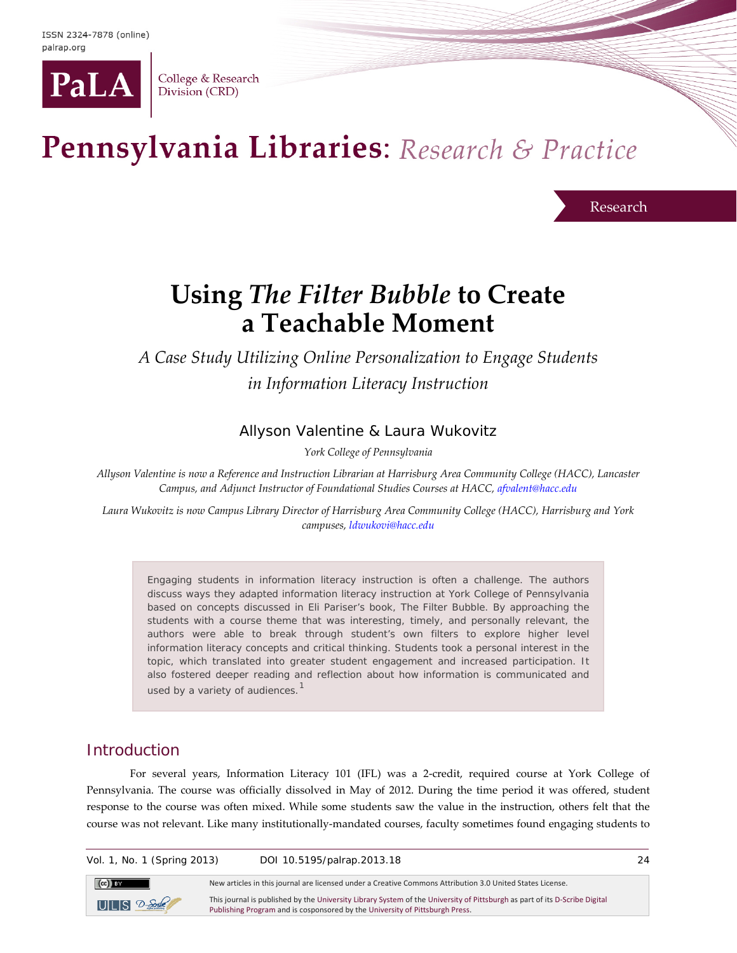

College & Research Division (CRD)

# Pennsylvania Libraries: Research & Practice

Research

# **Using** *The Filter Bubble* **to Create a Teachable Moment**

*A Case Study Utilizing Online Personalization to Engage Students in Information Literacy Instruction*

# Allyson Valentine & Laura Wukovitz

*York College of Pennsylvania*

*Allyson Valentine is now a Reference and Instruction Librarian at Harrisburg Area Community College (HACC), Lancaster Campus, and Adjunct Instructor of Foundational Studies Courses at HACC[, afvalent@hacc.edu](mailto:afvalent@hacc.edu?subject=PaLRaP%20article)*

*Laura Wukovitz is now Campus Library Director of Harrisburg Area Community College (HACC), Harrisburg and York campuses, [ldwukovi@hacc.edu](mailto:ldwukovi@hacc.edu?subject=PaLRaP%20article)*

Engaging students in information literacy instruction is often a challenge. The authors discuss ways they adapted information literacy instruction at York College of Pennsylvania based on concepts discussed in Eli Pariser's book, *The Filter Bubble.* By approaching the students with a course theme that was interesting, timely, and personally relevant, the authors were able to break through student's own filters to explore higher level information literacy concepts and critical thinking. Students took a personal interest in the topic, which translated into greater student engagement and increased participation. It also fostered deeper reading and reflection about how information is communicated and used by a variety of audiences.<sup>[1](#page-9-0)</sup>

# Introduction

For several years, Information Literacy 101 (IFL) was a 2-credit, required course at York College of Pennsylvania. The course was officially dissolved in May of 2012. During the time period it was offered, student response to the course was often mixed. While some students saw the value in the instruction, others felt that the course was not relevant. Like many institutionally-mandated courses, faculty sometimes found engaging students to

Vol. 1, No. 1 (Spring 2013) DOI 10.5195/palrap.2013.18 24



New articles in this journal are licensed under a Creative Commons Attribution 3.0 United States License.

This journal is published by th[e University Library System](http://www.library.pitt.edu/) of th[e University of Pittsburgh](http://www.pitt.edu/) as part of it[s D-Scribe Digital](http://www.library.pitt.edu/articles/digpubtype/index.html)  [Publishing Program](http://www.library.pitt.edu/articles/digpubtype/index.html) and is cosponsored by th[e University of Pittsburgh Press.](http://upress.pitt.edu/)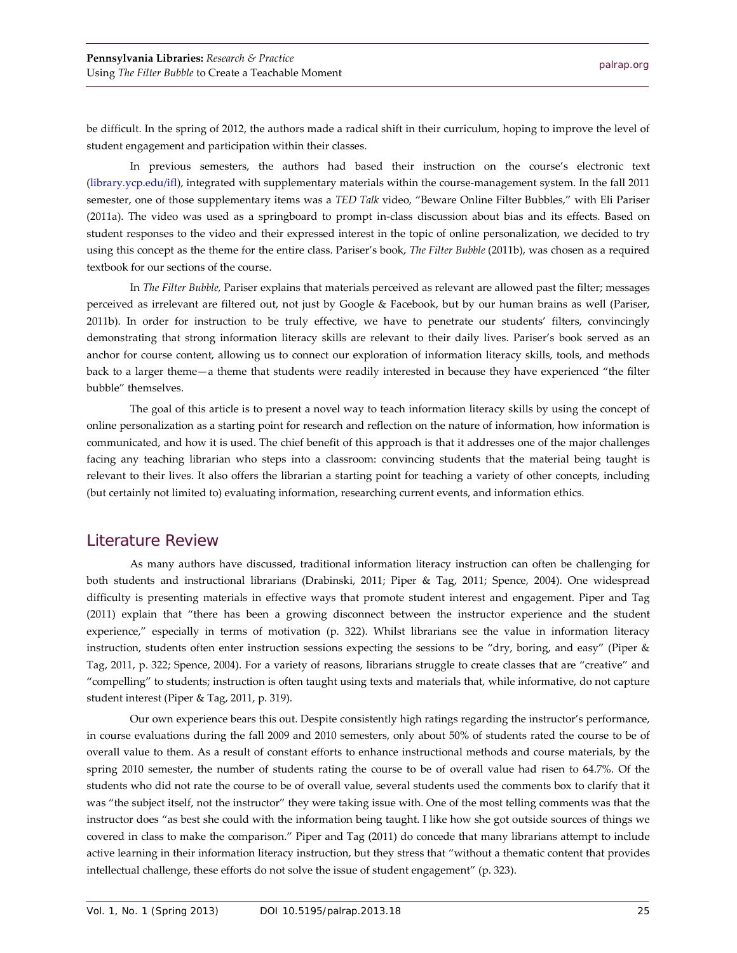be difficult. In the spring of 2012, the authors made a radical shift in their curriculum, hoping to improve the level of student engagement and participation within their classes.

In previous semesters, the authors had based their instruction on the course's electronic text [\(library.ycp.edu/ifl\)](http://library.ycp.edu/ifl), integrated with supplementary materials within the course-management system. In the fall 2011 semester, one of those supplementary items was a *TED Talk* video, "Beware Online Filter Bubbles," with Eli Pariser (2011a). The video was used as a springboard to prompt in-class discussion about bias and its effects. Based on student responses to the video and their expressed interest in the topic of online personalization, we decided to try using this concept as the theme for the entire class. Pariser's book, *The Filter Bubble* (2011b), was chosen as a required textbook for our sections of the course.

In *The Filter Bubble,* Pariser explains that materials perceived as relevant are allowed past the filter; messages perceived as irrelevant are filtered out, not just by Google & Facebook, but by our human brains as well (Pariser, 2011b). In order for instruction to be truly effective, we have to penetrate our students' filters, convincingly demonstrating that strong information literacy skills are relevant to their daily lives. Pariser's book served as an anchor for course content, allowing us to connect our exploration of information literacy skills, tools, and methods back to a larger theme—a theme that students were readily interested in because they have experienced "the filter bubble" themselves.

The goal of this article is to present a novel way to teach information literacy skills by using the concept of online personalization as a starting point for research and reflection on the nature of information, how information is communicated, and how it is used. The chief benefit of this approach is that it addresses one of the major challenges facing any teaching librarian who steps into a classroom: convincing students that the material being taught is relevant to their lives. It also offers the librarian a starting point for teaching a variety of other concepts, including (but certainly not limited to) evaluating information, researching current events, and information ethics.

#### Literature Review

As many authors have discussed, traditional information literacy instruction can often be challenging for both students and instructional librarians (Drabinski, 2011; Piper & Tag, 2011; Spence, 2004). One widespread difficulty is presenting materials in effective ways that promote student interest and engagement. Piper and Tag (2011) explain that "there has been a growing disconnect between the instructor experience and the student experience," especially in terms of motivation (p. 322). Whilst librarians see the value in information literacy instruction, students often enter instruction sessions expecting the sessions to be "dry, boring, and easy" (Piper & Tag, 2011, p. 322; Spence, 2004). For a variety of reasons, librarians struggle to create classes that are "creative" and "compelling" to students; instruction is often taught using texts and materials that, while informative, do not capture student interest (Piper & Tag, 2011, p. 319).

Our own experience bears this out. Despite consistently high ratings regarding the instructor's performance, in course evaluations during the fall 2009 and 2010 semesters, only about 50% of students rated the course to be of overall value to them. As a result of constant efforts to enhance instructional methods and course materials, by the spring 2010 semester, the number of students rating the course to be of overall value had risen to 64.7%. Of the students who did not rate the course to be of overall value, several students used the comments box to clarify that it was "the subject itself, not the instructor" they were taking issue with. One of the most telling comments was that the instructor does "as best she could with the information being taught. I like how she got outside sources of things we covered in class to make the comparison." Piper and Tag (2011) do concede that many librarians attempt to include active learning in their information literacy instruction, but they stress that "without a thematic content that provides intellectual challenge, these efforts do not solve the issue of student engagement" (p. 323).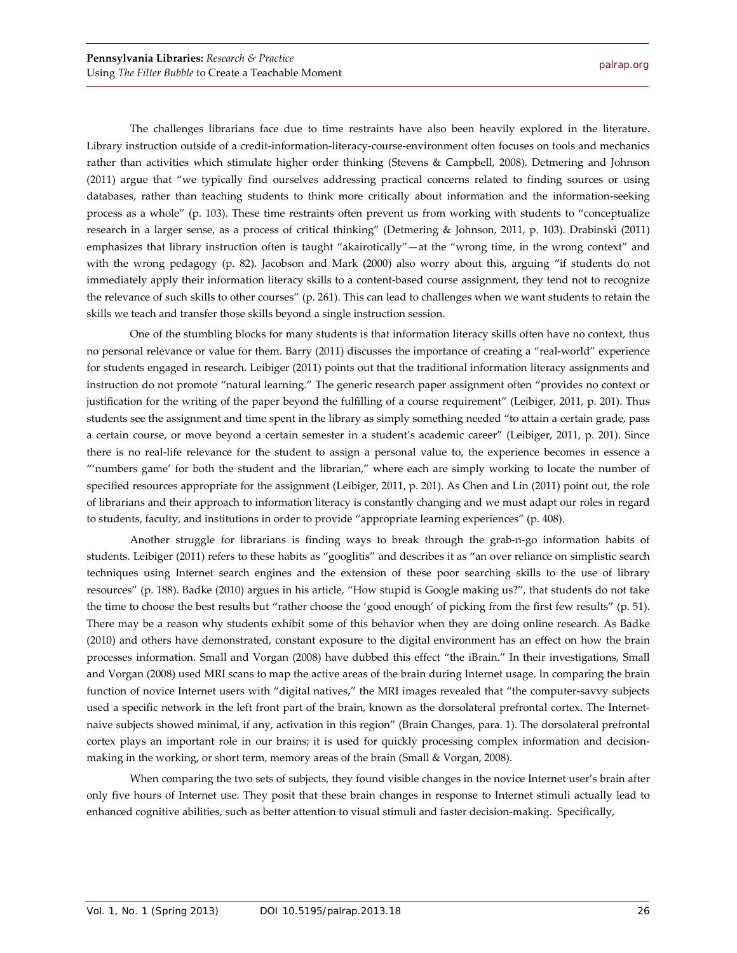The challenges librarians face due to time restraints have also been heavily explored in the literature. Library instruction outside of a credit-information-literacy-course-environment often focuses on tools and mechanics rather than activities which stimulate higher order thinking (Stevens & Campbell, 2008). Detmering and Johnson (2011) argue that "we typically find ourselves addressing practical concerns related to finding sources or using databases, rather than teaching students to think more critically about information and the information-seeking process as a whole" (p. 103). These time restraints often prevent us from working with students to "conceptualize research in a larger sense, as a process of critical thinking" (Detmering & Johnson, 2011, p. 103). Drabinski (2011) emphasizes that library instruction often is taught "akairotically"—at the "wrong time, in the wrong context" and with the wrong pedagogy (p. 82). Jacobson and Mark (2000) also worry about this, arguing "if students do not immediately apply their information literacy skills to a content-based course assignment, they tend not to recognize the relevance of such skills to other courses" (p. 261). This can lead to challenges when we want students to retain the skills we teach and transfer those skills beyond a single instruction session.

One of the stumbling blocks for many students is that information literacy skills often have no context, thus no personal relevance or value for them. Barry (2011) discusses the importance of creating a "real-world" experience for students engaged in research. Leibiger (2011) points out that the traditional information literacy assignments and instruction do not promote "natural learning." The generic research paper assignment often "provides no context or justification for the writing of the paper beyond the fulfilling of a course requirement" (Leibiger, 2011, p. 201). Thus students see the assignment and time spent in the library as simply something needed "to attain a certain grade, pass a certain course, or move beyond a certain semester in a student's academic career" (Leibiger, 2011, p. 201). Since there is no real-life relevance for the student to assign a personal value to, the experience becomes in essence a "'numbers game' for both the student and the librarian," where each are simply working to locate the number of specified resources appropriate for the assignment (Leibiger, 2011, p. 201). As Chen and Lin (2011) point out, the role of librarians and their approach to information literacy is constantly changing and we must adapt our roles in regard to students, faculty, and institutions in order to provide "appropriate learning experiences" (p. 408).

Another struggle for librarians is finding ways to break through the grab-n-go information habits of students. Leibiger (2011) refers to these habits as "googlitis" and describes it as "an over reliance on simplistic search techniques using Internet search engines and the extension of these poor searching skills to the use of library resources" (p. 188). Badke (2010) argues in his article, "How stupid is Google making us?", that students do not take the time to choose the best results but "rather choose the 'good enough' of picking from the first few results" (p. 51). There may be a reason why students exhibit some of this behavior when they are doing online research. As Badke (2010) and others have demonstrated, constant exposure to the digital environment has an effect on how the brain processes information. Small and Vorgan (2008) have dubbed this effect "the iBrain." In their investigations, Small and Vorgan (2008) used MRI scans to map the active areas of the brain during Internet usage. In comparing the brain function of novice Internet users with "digital natives," the MRI images revealed that "the computer-savvy subjects used a specific network in the left front part of the brain, known as the dorsolateral prefrontal cortex. The Internetnaive subjects showed minimal, if any, activation in this region" (Brain Changes, para. 1). The dorsolateral prefrontal cortex plays an important role in our brains; it is used for quickly processing complex information and decisionmaking in the working, or short term, memory areas of the brain (Small & Vorgan, 2008).

When comparing the two sets of subjects, they found visible changes in the novice Internet user's brain after only five hours of Internet use. They posit that these brain changes in response to Internet stimuli actually lead to enhanced cognitive abilities, such as better attention to visual stimuli and faster decision-making. Specifically,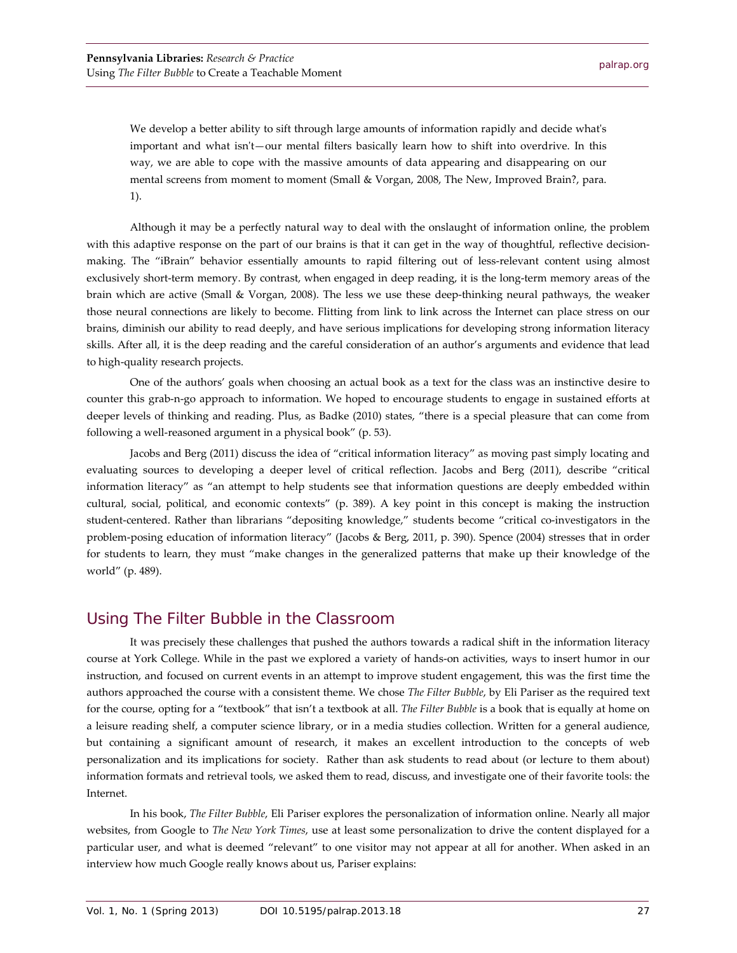We develop a better ability to sift through large amounts of information rapidly and decide what's important and what isn't—our mental filters basically learn how to shift into overdrive. In this way, we are able to cope with the massive amounts of data appearing and disappearing on our mental screens from moment to moment (Small & Vorgan, 2008, The New, Improved Brain?, para. 1).

Although it may be a perfectly natural way to deal with the onslaught of information online, the problem with this adaptive response on the part of our brains is that it can get in the way of thoughtful, reflective decisionmaking. The "iBrain" behavior essentially amounts to rapid filtering out of less-relevant content using almost exclusively short-term memory. By contrast, when engaged in deep reading, it is the long-term memory areas of the brain which are active (Small & Vorgan, 2008). The less we use these deep-thinking neural pathways, the weaker those neural connections are likely to become. Flitting from link to link across the Internet can place stress on our brains, diminish our ability to read deeply, and have serious implications for developing strong information literacy skills. After all, it is the deep reading and the careful consideration of an author's arguments and evidence that lead to high-quality research projects.

One of the authors' goals when choosing an actual book as a text for the class was an instinctive desire to counter this grab-n-go approach to information. We hoped to encourage students to engage in sustained efforts at deeper levels of thinking and reading. Plus, as Badke (2010) states, "there is a special pleasure that can come from following a well-reasoned argument in a physical book" (p. 53).

Jacobs and Berg (2011) discuss the idea of "critical information literacy" as moving past simply locating and evaluating sources to developing a deeper level of critical reflection. Jacobs and Berg (2011), describe "critical information literacy" as "an attempt to help students see that information questions are deeply embedded within cultural, social, political, and economic contexts" (p. 389). A key point in this concept is making the instruction student-centered. Rather than librarians "depositing knowledge," students become "critical co-investigators in the problem-posing education of information literacy" (Jacobs & Berg, 2011, p. 390). Spence (2004) stresses that in order for students to learn, they must "make changes in the generalized patterns that make up their knowledge of the world" (p. 489).

#### Using *The Filter Bubble* in the Classroom

It was precisely these challenges that pushed the authors towards a radical shift in the information literacy course at York College. While in the past we explored a variety of hands-on activities, ways to insert humor in our instruction, and focused on current events in an attempt to improve student engagement, this was the first time the authors approached the course with a consistent theme. We chose *The Filter Bubble*, by Eli Pariser as the required text for the course, opting for a "textbook" that isn't a textbook at all. *The Filter Bubble* is a book that is equally at home on a leisure reading shelf, a computer science library, or in a media studies collection. Written for a general audience, but containing a significant amount of research, it makes an excellent introduction to the concepts of web personalization and its implications for society. Rather than ask students to read about (or lecture to them about) information formats and retrieval tools, we asked them to read, discuss, and investigate one of their favorite tools: the Internet.

In his book, *The Filter Bubble*, Eli Pariser explores the personalization of information online. Nearly all major websites, from Google to *The New York Times*, use at least some personalization to drive the content displayed for a particular user, and what is deemed "relevant" to one visitor may not appear at all for another. When asked in an interview how much Google really knows about us, Pariser explains: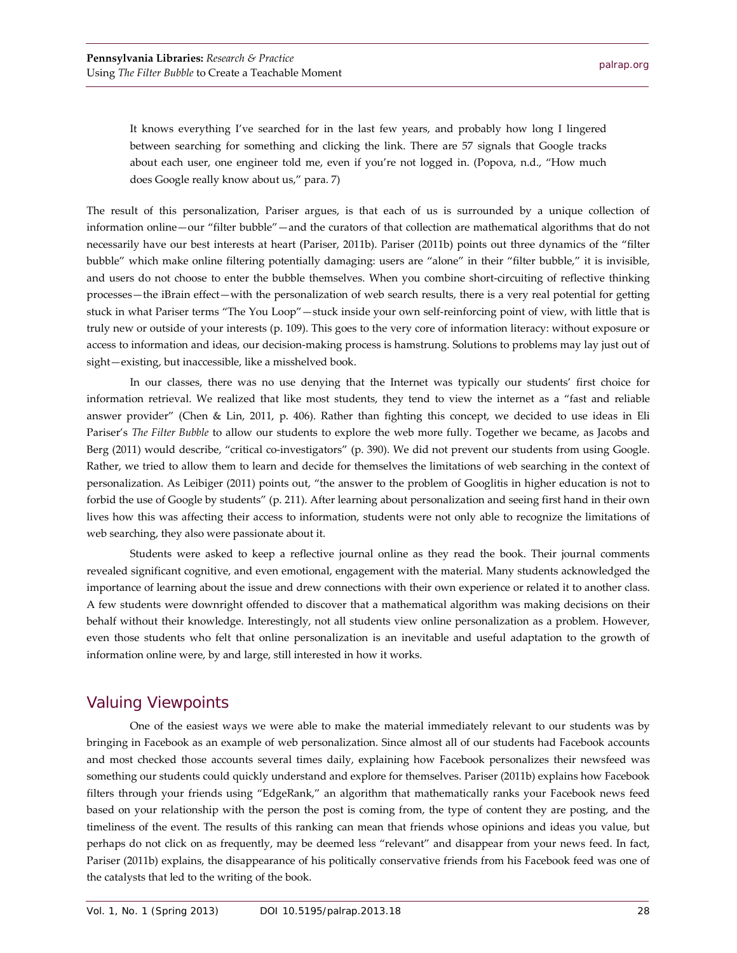It knows everything I've searched for in the last few years, and probably how long I lingered between searching for something and clicking the link. There are 57 signals that Google tracks about each user, one engineer told me, even if you're not logged in. (Popova, n.d., "How much does Google really know about us," para. 7)

The result of this personalization, Pariser argues, is that each of us is surrounded by a unique collection of information online—our "filter bubble"—and the curators of that collection are mathematical algorithms that do not necessarily have our best interests at heart (Pariser, 2011b). Pariser (2011b) points out three dynamics of the "filter bubble" which make online filtering potentially damaging: users are "alone" in their "filter bubble," it is invisible, and users do not choose to enter the bubble themselves. When you combine short-circuiting of reflective thinking processes—the iBrain effect—with the personalization of web search results, there is a very real potential for getting stuck in what Pariser terms "The You Loop"—stuck inside your own self-reinforcing point of view, with little that is truly new or outside of your interests (p. 109). This goes to the very core of information literacy: without exposure or access to information and ideas, our decision-making process is hamstrung. Solutions to problems may lay just out of sight—existing, but inaccessible, like a misshelved book.

In our classes, there was no use denying that the Internet was typically our students' first choice for information retrieval. We realized that like most students, they tend to view the internet as a "fast and reliable answer provider" (Chen & Lin, 2011, p. 406). Rather than fighting this concept, we decided to use ideas in Eli Pariser's *The Filter Bubble* to allow our students to explore the web more fully. Together we became, as Jacobs and Berg (2011) would describe, "critical co-investigators" (p. 390). We did not prevent our students from using Google. Rather, we tried to allow them to learn and decide for themselves the limitations of web searching in the context of personalization. As Leibiger (2011) points out, "the answer to the problem of Googlitis in higher education is not to forbid the use of Google by students" (p. 211). After learning about personalization and seeing first hand in their own lives how this was affecting their access to information, students were not only able to recognize the limitations of web searching, they also were passionate about it.

Students were asked to keep a reflective journal online as they read the book. Their journal comments revealed significant cognitive, and even emotional, engagement with the material. Many students acknowledged the importance of learning about the issue and drew connections with their own experience or related it to another class. A few students were downright offended to discover that a mathematical algorithm was making decisions on their behalf without their knowledge. Interestingly, not all students view online personalization as a problem. However, even those students who felt that online personalization is an inevitable and useful adaptation to the growth of information online were, by and large, still interested in how it works.

# Valuing Viewpoints

One of the easiest ways we were able to make the material immediately relevant to our students was by bringing in Facebook as an example of web personalization. Since almost all of our students had Facebook accounts and most checked those accounts several times daily, explaining how Facebook personalizes their newsfeed was something our students could quickly understand and explore for themselves. Pariser (2011b) explains how Facebook filters through your friends using "EdgeRank," an algorithm that mathematically ranks your Facebook news feed based on your relationship with the person the post is coming from, the type of content they are posting, and the timeliness of the event. The results of this ranking can mean that friends whose opinions and ideas you value, but perhaps do not click on as frequently, may be deemed less "relevant" and disappear from your news feed. In fact, Pariser (2011b) explains, the disappearance of his politically conservative friends from his Facebook feed was one of the catalysts that led to the writing of the book.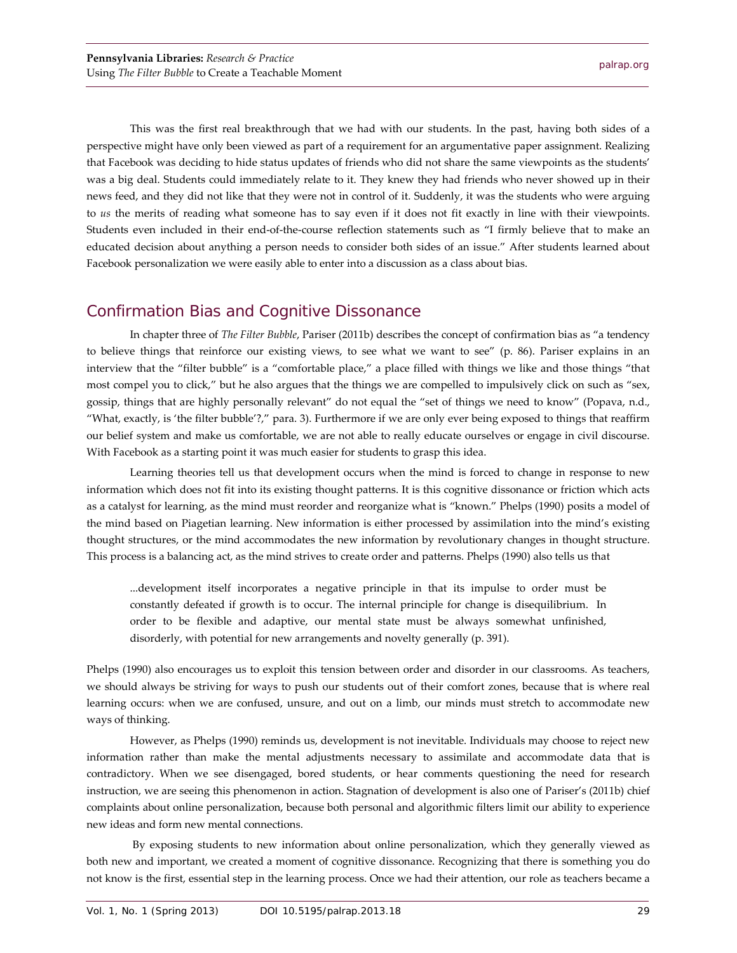This was the first real breakthrough that we had with our students. In the past, having both sides of a perspective might have only been viewed as part of a requirement for an argumentative paper assignment. Realizing that Facebook was deciding to hide status updates of friends who did not share the same viewpoints as the students' was a big deal. Students could immediately relate to it. They knew they had friends who never showed up in their news feed, and they did not like that they were not in control of it. Suddenly, it was the students who were arguing to *us* the merits of reading what someone has to say even if it does not fit exactly in line with their viewpoints. Students even included in their end-of-the-course reflection statements such as "I firmly believe that to make an educated decision about anything a person needs to consider both sides of an issue." After students learned about Facebook personalization we were easily able to enter into a discussion as a class about bias.

## Confirmation Bias and Cognitive Dissonance

In chapter three of *The Filter Bubble*, Pariser (2011b) describes the concept of confirmation bias as "a tendency to believe things that reinforce our existing views, to see what we want to see" (p. 86). Pariser explains in an interview that the "filter bubble" is a "comfortable place," a place filled with things we like and those things "that most compel you to click," but he also argues that the things we are compelled to impulsively click on such as "sex, gossip, things that are highly personally relevant" do not equal the "set of things we need to know" (Popava, n.d., "What, exactly, is 'the filter bubble'?," para. 3). Furthermore if we are only ever being exposed to things that reaffirm our belief system and make us comfortable, we are not able to really educate ourselves or engage in civil discourse. With Facebook as a starting point it was much easier for students to grasp this idea.

Learning theories tell us that development occurs when the mind is forced to change in response to new information which does not fit into its existing thought patterns. It is this cognitive dissonance or friction which acts as a catalyst for learning, as the mind must reorder and reorganize what is "known." Phelps (1990) posits a model of the mind based on Piagetian learning. New information is either processed by assimilation into the mind's existing thought structures, or the mind accommodates the new information by revolutionary changes in thought structure. This process is a balancing act, as the mind strives to create order and patterns. Phelps (1990) also tells us that

...development itself incorporates a negative principle in that its impulse to order must be constantly defeated if growth is to occur. The internal principle for change is disequilibrium. In order to be flexible and adaptive, our mental state must be always somewhat unfinished, disorderly, with potential for new arrangements and novelty generally (p. 391).

Phelps (1990) also encourages us to exploit this tension between order and disorder in our classrooms. As teachers, we should always be striving for ways to push our students out of their comfort zones, because that is where real learning occurs: when we are confused, unsure, and out on a limb, our minds must stretch to accommodate new ways of thinking.

However, as Phelps (1990) reminds us, development is not inevitable. Individuals may choose to reject new information rather than make the mental adjustments necessary to assimilate and accommodate data that is contradictory. When we see disengaged, bored students, or hear comments questioning the need for research instruction, we are seeing this phenomenon in action. Stagnation of development is also one of Pariser's (2011b) chief complaints about online personalization, because both personal and algorithmic filters limit our ability to experience new ideas and form new mental connections.

By exposing students to new information about online personalization, which they generally viewed as both new and important, we created a moment of cognitive dissonance. Recognizing that there is something you do not know is the first, essential step in the learning process. Once we had their attention, our role as teachers became a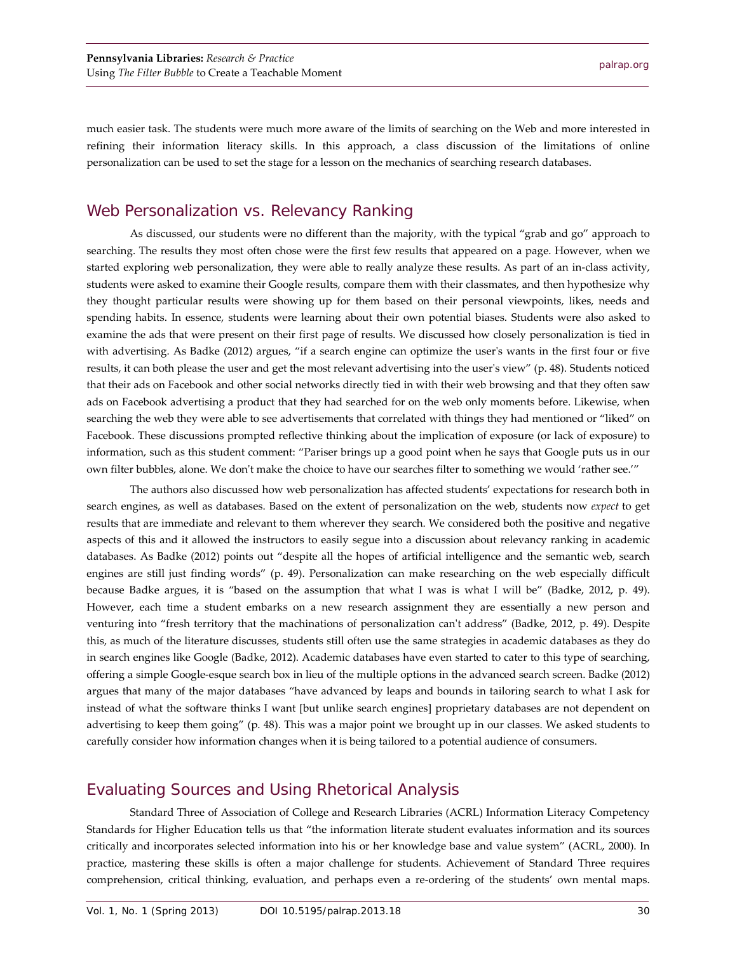much easier task. The students were much more aware of the limits of searching on the Web and more interested in refining their information literacy skills. In this approach, a class discussion of the limitations of online personalization can be used to set the stage for a lesson on the mechanics of searching research databases.

#### Web Personalization vs. Relevancy Ranking

As discussed, our students were no different than the majority, with the typical "grab and go" approach to searching. The results they most often chose were the first few results that appeared on a page. However, when we started exploring web personalization, they were able to really analyze these results. As part of an in-class activity, students were asked to examine their Google results, compare them with their classmates, and then hypothesize why they thought particular results were showing up for them based on their personal viewpoints, likes, needs and spending habits. In essence, students were learning about their own potential biases. Students were also asked to examine the ads that were present on their first page of results. We discussed how closely personalization is tied in with advertising. As Badke (2012) argues, "if a search engine can optimize the user's wants in the first four or five results, it can both please the user and get the most relevant advertising into the user's view" (p. 48). Students noticed that their ads on Facebook and other social networks directly tied in with their web browsing and that they often saw ads on Facebook advertising a product that they had searched for on the web only moments before. Likewise, when searching the web they were able to see advertisements that correlated with things they had mentioned or "liked" on Facebook. These discussions prompted reflective thinking about the implication of exposure (or lack of exposure) to information, such as this student comment: "Pariser brings up a good point when he says that Google puts us in our own filter bubbles, alone. We don't make the choice to have our searches filter to something we would 'rather see.'"

The authors also discussed how web personalization has affected students' expectations for research both in search engines, as well as databases. Based on the extent of personalization on the web, students now *expect* to get results that are immediate and relevant to them wherever they search. We considered both the positive and negative aspects of this and it allowed the instructors to easily segue into a discussion about relevancy ranking in academic databases. As Badke (2012) points out "despite all the hopes of artificial intelligence and the semantic web, search engines are still just finding words" (p. 49). Personalization can make researching on the web especially difficult because Badke argues, it is "based on the assumption that what I was is what I will be" (Badke, 2012, p. 49). However, each time a student embarks on a new research assignment they are essentially a new person and venturing into "fresh territory that the machinations of personalization can't address" (Badke, 2012, p. 49). Despite this, as much of the literature discusses, students still often use the same strategies in academic databases as they do in search engines like Google (Badke, 2012). Academic databases have even started to cater to this type of searching, offering a simple Google-esque search box in lieu of the multiple options in the advanced search screen. Badke (2012) argues that many of the major databases "have advanced by leaps and bounds in tailoring search to what I ask for instead of what the software thinks I want [but unlike search engines] proprietary databases are not dependent on advertising to keep them going" (p. 48). This was a major point we brought up in our classes. We asked students to carefully consider how information changes when it is being tailored to a potential audience of consumers.

#### Evaluating Sources and Using Rhetorical Analysis

Standard Three of Association of College and Research Libraries (ACRL) Information Literacy Competency Standards for Higher Education tells us that "the information literate student evaluates information and its sources critically and incorporates selected information into his or her knowledge base and value system" (ACRL, 2000). In practice, mastering these skills is often a major challenge for students. Achievement of Standard Three requires comprehension, critical thinking, evaluation, and perhaps even a re-ordering of the students' own mental maps.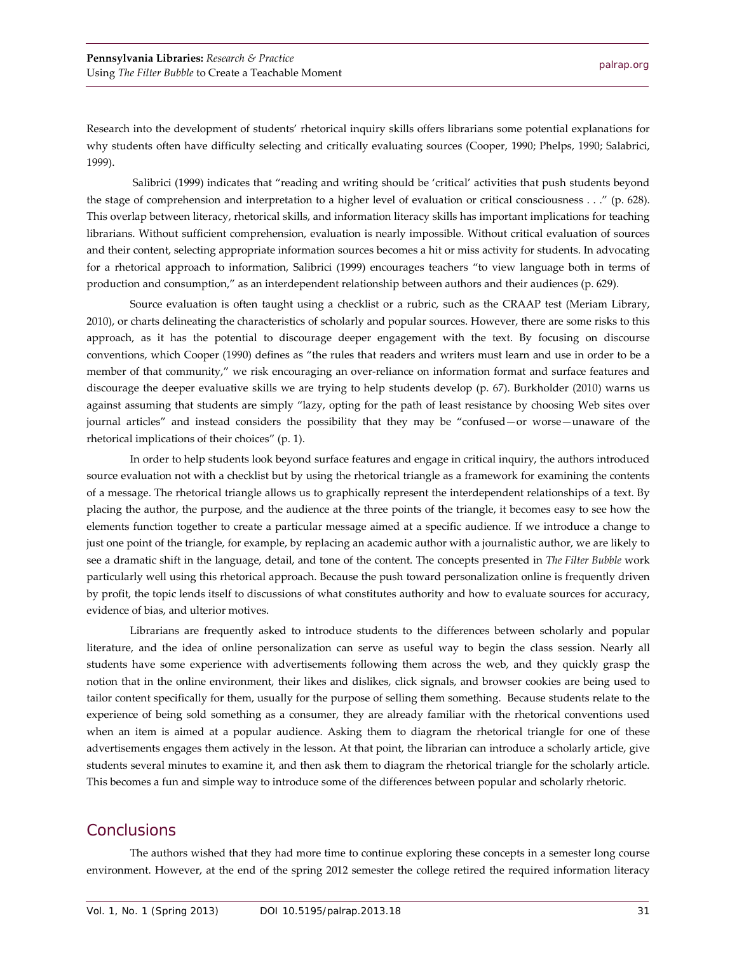Research into the development of students' rhetorical inquiry skills offers librarians some potential explanations for why students often have difficulty selecting and critically evaluating sources (Cooper, 1990; Phelps, 1990; Salabrici, 1999).

Salibrici (1999) indicates that "reading and writing should be 'critical' activities that push students beyond the stage of comprehension and interpretation to a higher level of evaluation or critical consciousness . . ." (p. 628). This overlap between literacy, rhetorical skills, and information literacy skills has important implications for teaching librarians. Without sufficient comprehension, evaluation is nearly impossible. Without critical evaluation of sources and their content, selecting appropriate information sources becomes a hit or miss activity for students. In advocating for a rhetorical approach to information, Salibrici (1999) encourages teachers "to view language both in terms of production and consumption," as an interdependent relationship between authors and their audiences (p. 629).

Source evaluation is often taught using a checklist or a rubric, such as the CRAAP test (Meriam Library, 2010), or charts delineating the characteristics of scholarly and popular sources. However, there are some risks to this approach, as it has the potential to discourage deeper engagement with the text. By focusing on discourse conventions, which Cooper (1990) defines as "the rules that readers and writers must learn and use in order to be a member of that community," we risk encouraging an over-reliance on information format and surface features and discourage the deeper evaluative skills we are trying to help students develop (p. 67). Burkholder (2010) warns us against assuming that students are simply "lazy, opting for the path of least resistance by choosing Web sites over journal articles" and instead considers the possibility that they may be "confused—or worse—unaware of the rhetorical implications of their choices" (p. 1).

In order to help students look beyond surface features and engage in critical inquiry, the authors introduced source evaluation not with a checklist but by using the rhetorical triangle as a framework for examining the contents of a message. The rhetorical triangle allows us to graphically represent the interdependent relationships of a text. By placing the author, the purpose, and the audience at the three points of the triangle, it becomes easy to see how the elements function together to create a particular message aimed at a specific audience. If we introduce a change to just one point of the triangle, for example, by replacing an academic author with a journalistic author, we are likely to see a dramatic shift in the language, detail, and tone of the content. The concepts presented in *The Filter Bubble* work particularly well using this rhetorical approach. Because the push toward personalization online is frequently driven by profit, the topic lends itself to discussions of what constitutes authority and how to evaluate sources for accuracy, evidence of bias, and ulterior motives.

Librarians are frequently asked to introduce students to the differences between scholarly and popular literature, and the idea of online personalization can serve as useful way to begin the class session. Nearly all students have some experience with advertisements following them across the web, and they quickly grasp the notion that in the online environment, their likes and dislikes, click signals, and browser cookies are being used to tailor content specifically for them, usually for the purpose of selling them something. Because students relate to the experience of being sold something as a consumer, they are already familiar with the rhetorical conventions used when an item is aimed at a popular audience. Asking them to diagram the rhetorical triangle for one of these advertisements engages them actively in the lesson. At that point, the librarian can introduce a scholarly article, give students several minutes to examine it, and then ask them to diagram the rhetorical triangle for the scholarly article. This becomes a fun and simple way to introduce some of the differences between popular and scholarly rhetoric.

#### **Conclusions**

The authors wished that they had more time to continue exploring these concepts in a semester long course environment. However, at the end of the spring 2012 semester the college retired the required information literacy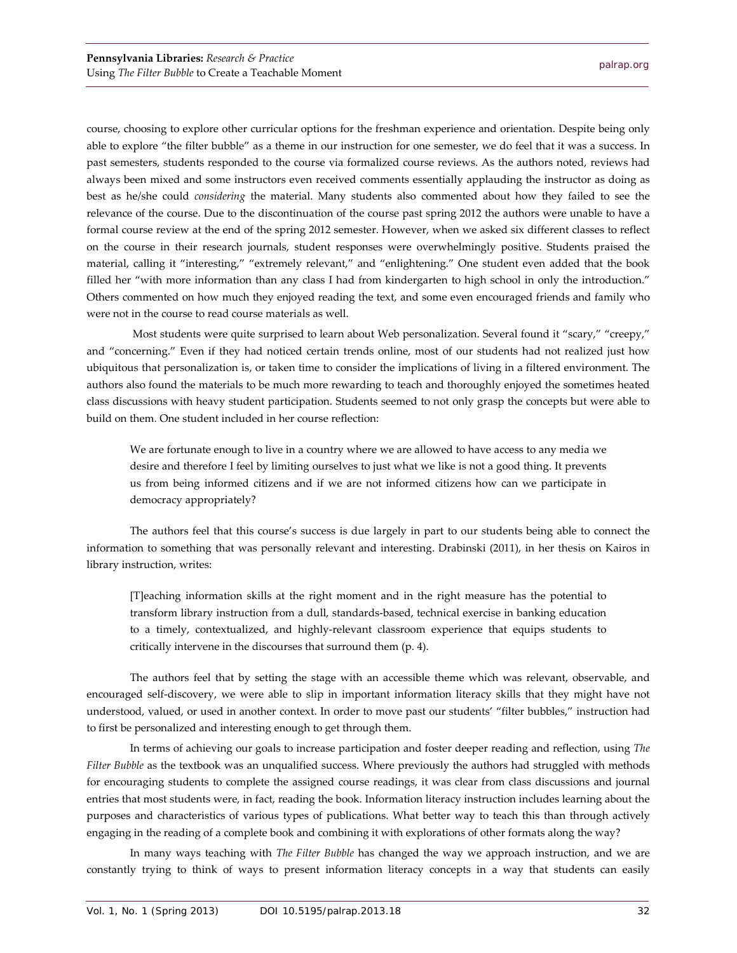course, choosing to explore other curricular options for the freshman experience and orientation. Despite being only able to explore "the filter bubble" as a theme in our instruction for one semester, we do feel that it was a success. In past semesters, students responded to the course via formalized course reviews. As the authors noted, reviews had always been mixed and some instructors even received comments essentially applauding the instructor as doing as best as he/she could *considering* the material. Many students also commented about how they failed to see the relevance of the course. Due to the discontinuation of the course past spring 2012 the authors were unable to have a formal course review at the end of the spring 2012 semester. However, when we asked six different classes to reflect on the course in their research journals, student responses were overwhelmingly positive. Students praised the material, calling it "interesting," "extremely relevant," and "enlightening." One student even added that the book filled her "with more information than any class I had from kindergarten to high school in only the introduction." Others commented on how much they enjoyed reading the text, and some even encouraged friends and family who were not in the course to read course materials as well.

Most students were quite surprised to learn about Web personalization. Several found it "scary," "creepy," and "concerning." Even if they had noticed certain trends online, most of our students had not realized just how ubiquitous that personalization is, or taken time to consider the implications of living in a filtered environment. The authors also found the materials to be much more rewarding to teach and thoroughly enjoyed the sometimes heated class discussions with heavy student participation. Students seemed to not only grasp the concepts but were able to build on them. One student included in her course reflection:

We are fortunate enough to live in a country where we are allowed to have access to any media we desire and therefore I feel by limiting ourselves to just what we like is not a good thing. It prevents us from being informed citizens and if we are not informed citizens how can we participate in democracy appropriately?

The authors feel that this course's success is due largely in part to our students being able to connect the information to something that was personally relevant and interesting. Drabinski (2011), in her thesis on Kairos in library instruction, writes:

[T]eaching information skills at the right moment and in the right measure has the potential to transform library instruction from a dull, standards-based, technical exercise in banking education to a timely, contextualized, and highly-relevant classroom experience that equips students to critically intervene in the discourses that surround them (p. 4).

The authors feel that by setting the stage with an accessible theme which was relevant, observable, and encouraged self-discovery, we were able to slip in important information literacy skills that they might have not understood, valued, or used in another context. In order to move past our students' "filter bubbles," instruction had to first be personalized and interesting enough to get through them.

In terms of achieving our goals to increase participation and foster deeper reading and reflection, using *The Filter Bubble* as the textbook was an unqualified success. Where previously the authors had struggled with methods for encouraging students to complete the assigned course readings, it was clear from class discussions and journal entries that most students were, in fact, reading the book. Information literacy instruction includes learning about the purposes and characteristics of various types of publications. What better way to teach this than through actively engaging in the reading of a complete book and combining it with explorations of other formats along the way?

In many ways teaching with *The Filter Bubble* has changed the way we approach instruction, and we are constantly trying to think of ways to present information literacy concepts in a way that students can easily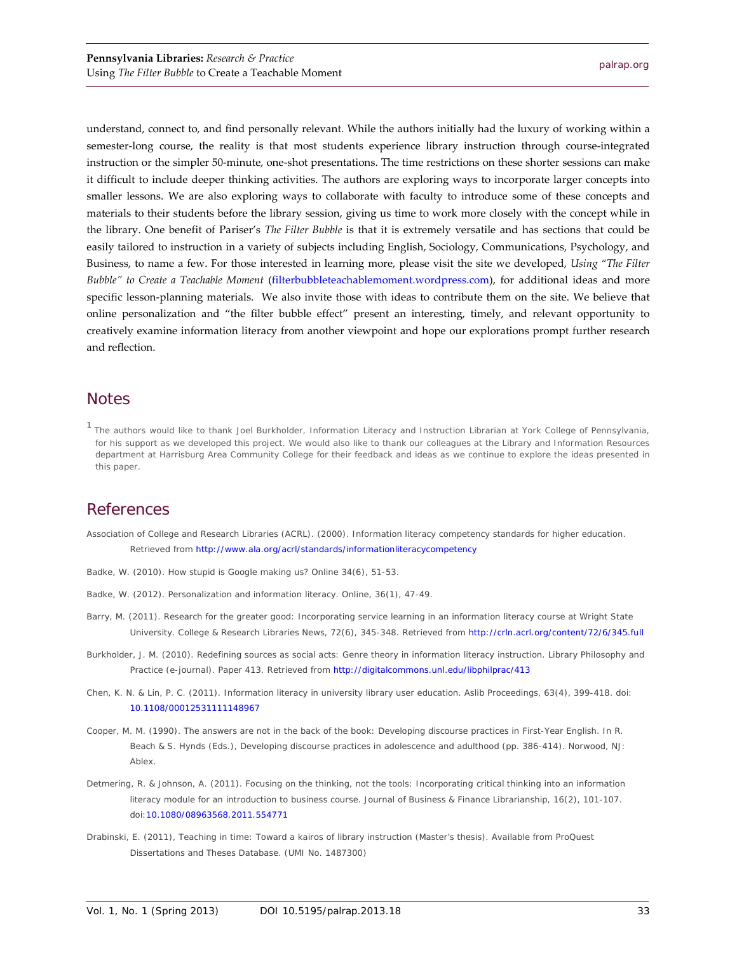understand, connect to, and find personally relevant. While the authors initially had the luxury of working within a semester-long course, the reality is that most students experience library instruction through course-integrated instruction or the simpler 50-minute, one-shot presentations. The time restrictions on these shorter sessions can make it difficult to include deeper thinking activities. The authors are exploring ways to incorporate larger concepts into smaller lessons. We are also exploring ways to collaborate with faculty to introduce some of these concepts and materials to their students before the library session, giving us time to work more closely with the concept while in the library. One benefit of Pariser's *The Filter Bubble* is that it is extremely versatile and has sections that could be easily tailored to instruction in a variety of subjects including English, Sociology, Communications, Psychology, and Business, to name a few. For those interested in learning more, please visit the site we developed, *Using "The Filter Bubble" to Create a Teachable Moment* [\(filterbubbleteachablemoment.wordpress.com\)](http://filterbubbleteachablemoment.wordpress.com/), for additional ideas and more specific lesson-planning materials. We also invite those with ideas to contribute them on the site. We believe that online personalization and "the filter bubble effect" present an interesting, timely, and relevant opportunity to creatively examine information literacy from another viewpoint and hope our explorations prompt further research and reflection.

#### **Notes**

<span id="page-9-0"></span><sup>1</sup> The authors would like to thank Joel Burkholder, Information Literacy and Instruction Librarian at York College of Pennsylvania, for his support as we developed this project. We would also like to thank our colleagues at the Library and Information Resources department at Harrisburg Area Community College for their feedback and ideas as we continue to explore the ideas presented in this paper.

## **References**

Association of College and Research Libraries (ACRL). (2000). *Information literacy competency standards for higher education.* Retrieved from<http://www.ala.org/acrl/standards/informationliteracycompetency>

- Badke, W. (2010). How stupid is Google making us? *Online 34(*6), 51-53.
- Badke, W. (2012). Personalization and information literacy. *Online, 36*(1), 47-49.
- Barry, M. (2011). Research for the greater good: Incorporating service learning in an information literacy course at Wright State University. *College & Research Libraries News*, *72*(6), 345-348. Retrieved from<http://crln.acrl.org/content/72/6/345.full>
- Burkholder, J. M. (2010). Redefining sources as social acts: Genre theory in information literacy instruction. *Library Philosophy and Practice* (e-journal). Paper 413. Retrieved from<http://digitalcommons.unl.edu/libphilprac/413>
- Chen, K. N. & Lin, P. C. (2011). Information literacy in university library user education. *Aslib Proceedings, 63*(4), 399-418. doi: [10.1108/00012531111148967](http://dx.doi.org/10.1108/00012531111148967)
- Cooper, M. M. (1990). The answers are not in the back of the book: Developing discourse practices in First-Year English. In R. Beach & S. Hynds (Eds.), *Developing discourse practices in adolescence and adulthood* (pp. 386-414). Norwood, NJ: Ablex.
- Detmering, R. & Johnson, A. (2011). Focusing on the thinking, not the tools: Incorporating critical thinking into an information literacy module for an introduction to business course. *Journal of Business & Finance Librarianship*, *16*(2), 101-107. doi[:10.1080/08963568.2011.554771](http://dx.doi.org/10.1080/08963568.2011.554771)
- Drabinski, E. (2011), Teaching in time: Toward a kairos of library instruction (Master's thesis). Available from ProQuest Dissertations and Theses Database. (UMI No. 1487300)